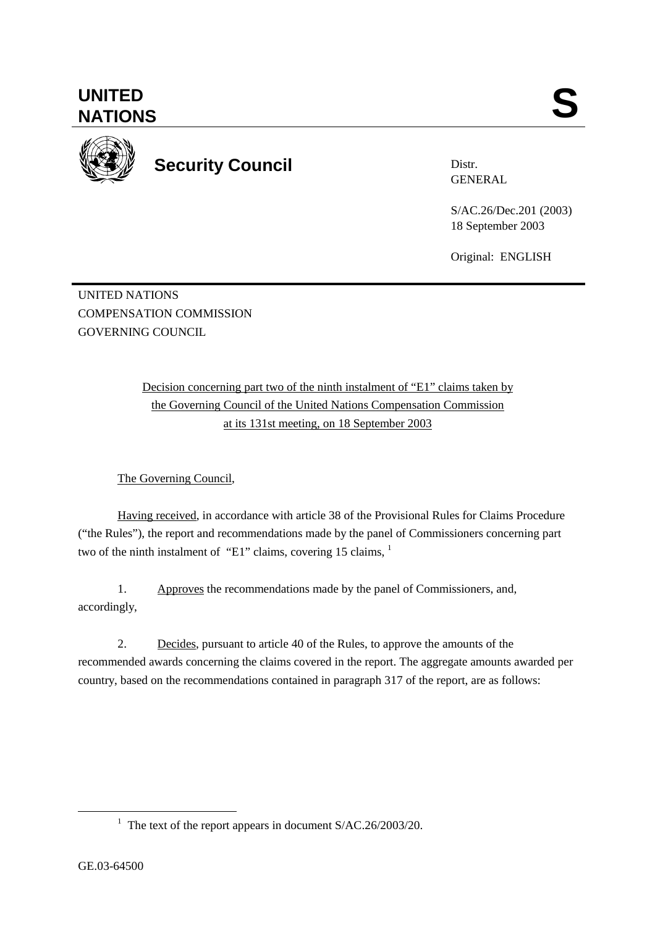**UNITED**  UNITED SANTIONS



**Security Council** 

Distr. GENERAL

S/AC.26/Dec.201 (2003) 18 September 2003

Original: ENGLISH

UNITED NATIONS COMPENSATION COMMISSION GOVERNING COUNCIL

> Decision concerning part two of the ninth instalment of "E1" claims taken by the Governing Council of the United Nations Compensation Commission at its 131st meeting, on 18 September 2003

The Governing Council,

Having received, in accordance with article 38 of the Provisional Rules for Claims Procedure ("the Rules"), the report and recommendations made by the panel of Commissioners concerning part two of the ninth instalment of "E1" claims, covering 15 claims,  $\frac{1}{1}$ 

1. Approves the recommendations made by the panel of Commissioners, and, accordingly,

2. Decides, pursuant to article 40 of the Rules, to approve the amounts of the recommended awards concerning the claims covered in the report. The aggregate amounts awarded per country, based on the recommendations contained in paragraph 317 of the report, are as follows:

<sup>&</sup>lt;u>1</u> <sup>1</sup> The text of the report appears in document  $S/AC.26/2003/20$ .